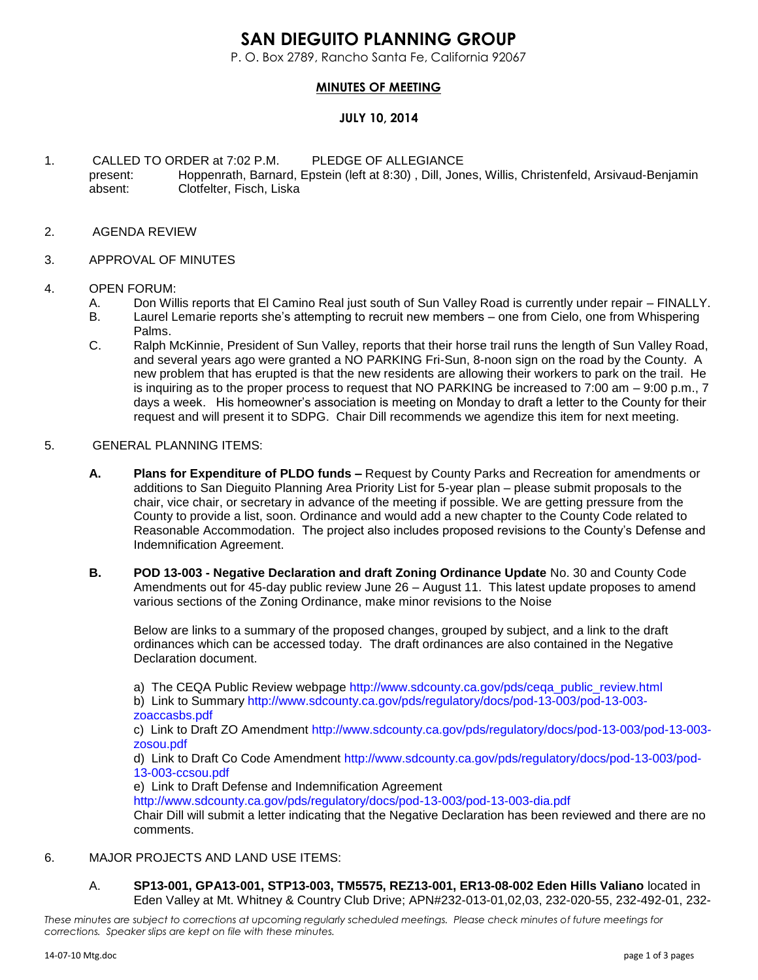# **SAN DIEGUITO PLANNING GROUP**

P. O. Box 2789, Rancho Santa Fe, California 92067

## **MINUTES OF MEETING**

## **JULY 10, 2014**

- 1. CALLED TO ORDER at 7:02 P.M. PLEDGE OF ALLEGIANCE present: Hoppenrath, Barnard, Epstein (left at 8:30) , Dill, Jones, Willis, Christenfeld, Arsivaud-Benjamin absent: Clotfelter, Fisch, Liska
- 2. AGENDA REVIEW
- 3. APPROVAL OF MINUTES

#### 4. OPEN FORUM:

- A. Don Willis reports that El Camino Real just south of Sun Valley Road is currently under repair FINALLY.
- B. Laurel Lemarie reports she's attempting to recruit new members one from Cielo, one from Whispering Palms.
- C. Ralph McKinnie, President of Sun Valley, reports that their horse trail runs the length of Sun Valley Road, and several years ago were granted a NO PARKING Fri-Sun, 8-noon sign on the road by the County. A new problem that has erupted is that the new residents are allowing their workers to park on the trail. He is inquiring as to the proper process to request that NO PARKING be increased to 7:00 am – 9:00 p.m., 7 days a week. His homeowner's association is meeting on Monday to draft a letter to the County for their request and will present it to SDPG. Chair Dill recommends we agendize this item for next meeting.

#### 5. GENERAL PLANNING ITEMS:

- **A. Plans for Expenditure of PLDO funds –** Request by County Parks and Recreation for amendments or additions to San Dieguito Planning Area Priority List for 5-year plan – please submit proposals to the chair, vice chair, or secretary in advance of the meeting if possible. We are getting pressure from the County to provide a list, soon. Ordinance and would add a new chapter to the County Code related to Reasonable Accommodation. The project also includes proposed revisions to the County's Defense and Indemnification Agreement.
- **B. POD 13-003 - Negative Declaration and draft Zoning Ordinance Update** No. 30 and County Code Amendments out for 45-day public review June 26 – August 11. This latest update proposes to amend various sections of the Zoning Ordinance, make minor revisions to the Noise

Below are links to a summary of the proposed changes, grouped by subject, and a link to the draft ordinances which can be accessed today. The draft ordinances are also contained in the Negative Declaration document.

a) The CEQA Public Review webpage [http://www.sdcounty.ca.gov/pds/ceqa\\_public\\_review.html](http://www.sdcounty.ca.gov/pds/ceqa_public_review.html) b) Link to Summary [http://www.sdcounty.ca.gov/pds/regulatory/docs/pod-13-003/pod-13-003](http://www.sdcounty.ca.gov/pds/regulatory/docs/pod-13-003/pod-13-003-zoaccasbs.pdf) [zoaccasbs.pdf](http://www.sdcounty.ca.gov/pds/regulatory/docs/pod-13-003/pod-13-003-zoaccasbs.pdf)

c) Link to Draft ZO Amendment [http://www.sdcounty.ca.gov/pds/regulatory/docs/pod-13-003/pod-13-003](http://www.sdcounty.ca.gov/pds/regulatory/docs/pod-13-003/pod-13-003-zosou.pdf) [zosou.pdf](http://www.sdcounty.ca.gov/pds/regulatory/docs/pod-13-003/pod-13-003-zosou.pdf)

d) Link to Draft Co Code Amendment [http://www.sdcounty.ca.gov/pds/regulatory/docs/pod-13-003/pod-](http://www.sdcounty.ca.gov/pds/regulatory/docs/pod-13-003/pod-13-003-ccsou.pdf)[13-003-ccsou.pdf](http://www.sdcounty.ca.gov/pds/regulatory/docs/pod-13-003/pod-13-003-ccsou.pdf)

e) Link to Draft Defense and Indemnification Agreement

<http://www.sdcounty.ca.gov/pds/regulatory/docs/pod-13-003/pod-13-003-dia.pdf> Chair Dill will submit a letter indicating that the Negative Declaration has been reviewed and there are no comments.

### 6. MAJOR PROJECTS AND LAND USE ITEMS:

A. **SP13-001, GPA13-001, STP13-003, TM5575, REZ13-001, ER13-08-002 Eden Hills Valiano** located in Eden Valley at Mt. Whitney & Country Club Drive; APN#232-013-01,02,03, 232-020-55, 232-492-01, 232-

*These minutes are subject to corrections at upcoming regularly scheduled meetings. Please check minutes of future meetings for corrections. Speaker slips are kept on file with these minutes.*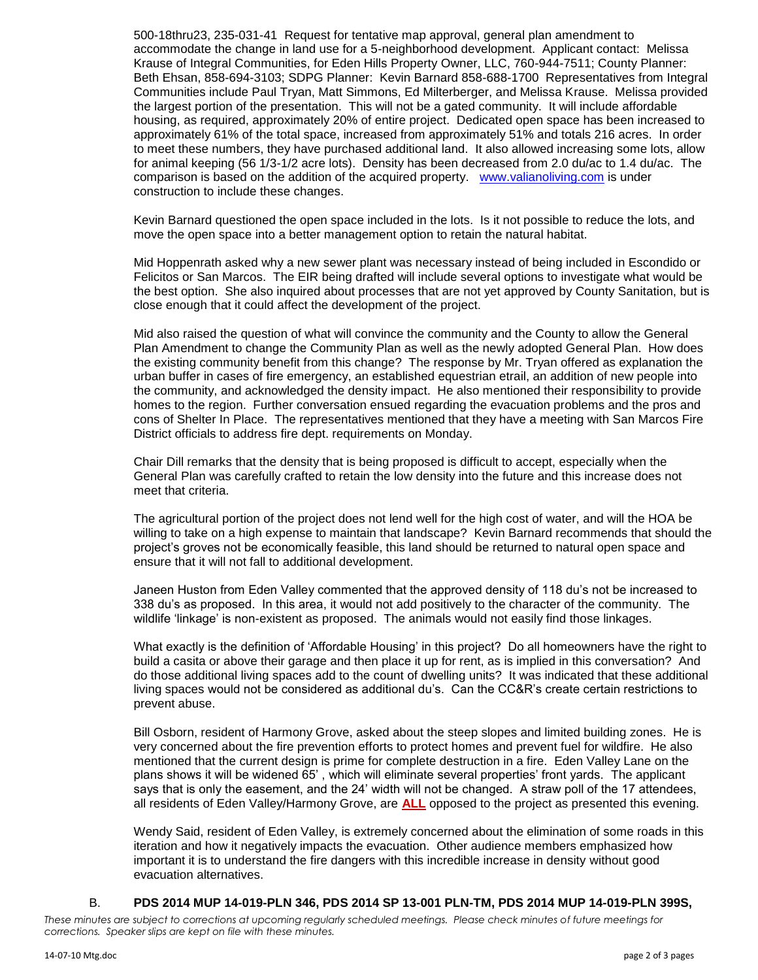500-18thru23, 235-031-41 Request for tentative map approval, general plan amendment to accommodate the change in land use for a 5-neighborhood development. Applicant contact: Melissa Krause of Integral Communities, for Eden Hills Property Owner, LLC, 760-944-7511; County Planner: Beth Ehsan, 858-694-3103; SDPG Planner: Kevin Barnard 858-688-1700 Representatives from Integral Communities include Paul Tryan, Matt Simmons, Ed Milterberger, and Melissa Krause. Melissa provided the largest portion of the presentation. This will not be a gated community. It will include affordable housing, as required, approximately 20% of entire project. Dedicated open space has been increased to approximately 61% of the total space, increased from approximately 51% and totals 216 acres. In order to meet these numbers, they have purchased additional land. It also allowed increasing some lots, allow for animal keeping (56 1/3-1/2 acre lots). Density has been decreased from 2.0 du/ac to 1.4 du/ac. The comparison is based on the addition of the acquired property. [www.valianoliving.com](http://www.valianoliving.com/) is under construction to include these changes.

Kevin Barnard questioned the open space included in the lots. Is it not possible to reduce the lots, and move the open space into a better management option to retain the natural habitat.

Mid Hoppenrath asked why a new sewer plant was necessary instead of being included in Escondido or Felicitos or San Marcos. The EIR being drafted will include several options to investigate what would be the best option. She also inquired about processes that are not yet approved by County Sanitation, but is close enough that it could affect the development of the project.

Mid also raised the question of what will convince the community and the County to allow the General Plan Amendment to change the Community Plan as well as the newly adopted General Plan. How does the existing community benefit from this change? The response by Mr. Tryan offered as explanation the urban buffer in cases of fire emergency, an established equestrian etrail, an addition of new people into the community, and acknowledged the density impact. He also mentioned their responsibility to provide homes to the region. Further conversation ensued regarding the evacuation problems and the pros and cons of Shelter In Place. The representatives mentioned that they have a meeting with San Marcos Fire District officials to address fire dept. requirements on Monday.

Chair Dill remarks that the density that is being proposed is difficult to accept, especially when the General Plan was carefully crafted to retain the low density into the future and this increase does not meet that criteria.

The agricultural portion of the project does not lend well for the high cost of water, and will the HOA be willing to take on a high expense to maintain that landscape? Kevin Barnard recommends that should the project's groves not be economically feasible, this land should be returned to natural open space and ensure that it will not fall to additional development.

Janeen Huston from Eden Valley commented that the approved density of 118 du's not be increased to 338 du's as proposed. In this area, it would not add positively to the character of the community. The wildlife 'linkage' is non-existent as proposed. The animals would not easily find those linkages.

What exactly is the definition of 'Affordable Housing' in this project? Do all homeowners have the right to build a casita or above their garage and then place it up for rent, as is implied in this conversation? And do those additional living spaces add to the count of dwelling units? It was indicated that these additional living spaces would not be considered as additional du's. Can the CC&R's create certain restrictions to prevent abuse.

Bill Osborn, resident of Harmony Grove, asked about the steep slopes and limited building zones. He is very concerned about the fire prevention efforts to protect homes and prevent fuel for wildfire. He also mentioned that the current design is prime for complete destruction in a fire. Eden Valley Lane on the plans shows it will be widened 65' , which will eliminate several properties' front yards. The applicant says that is only the easement, and the 24' width will not be changed. A straw poll of the 17 attendees, all residents of Eden Valley/Harmony Grove, are **ALL** opposed to the project as presented this evening.

Wendy Said, resident of Eden Valley, is extremely concerned about the elimination of some roads in this iteration and how it negatively impacts the evacuation. Other audience members emphasized how important it is to understand the fire dangers with this incredible increase in density without good evacuation alternatives.

#### B. **PDS 2014 MUP 14-019-PLN 346, PDS 2014 SP 13-001 PLN-TM, PDS 2014 MUP 14-019-PLN 399S,**

*These minutes are subject to corrections at upcoming regularly scheduled meetings. Please check minutes of future meetings for corrections. Speaker slips are kept on file with these minutes.*